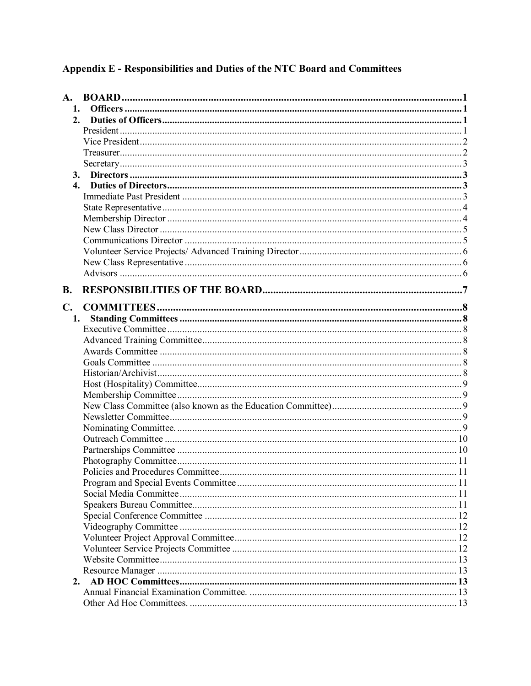# Appendix E - Responsibilities and Duties of the NTC Board and Committees

| 1.             |  |
|----------------|--|
| 2.             |  |
|                |  |
|                |  |
|                |  |
|                |  |
|                |  |
|                |  |
|                |  |
|                |  |
|                |  |
|                |  |
|                |  |
|                |  |
|                |  |
|                |  |
|                |  |
| <b>B.</b>      |  |
| $\mathbf{C}$ . |  |
| 1.             |  |
|                |  |
|                |  |
|                |  |
|                |  |
|                |  |
|                |  |
|                |  |
|                |  |
|                |  |
|                |  |
|                |  |
|                |  |
|                |  |
|                |  |
|                |  |
|                |  |
|                |  |
|                |  |
|                |  |
|                |  |
|                |  |
|                |  |
|                |  |
| 2.             |  |
|                |  |
|                |  |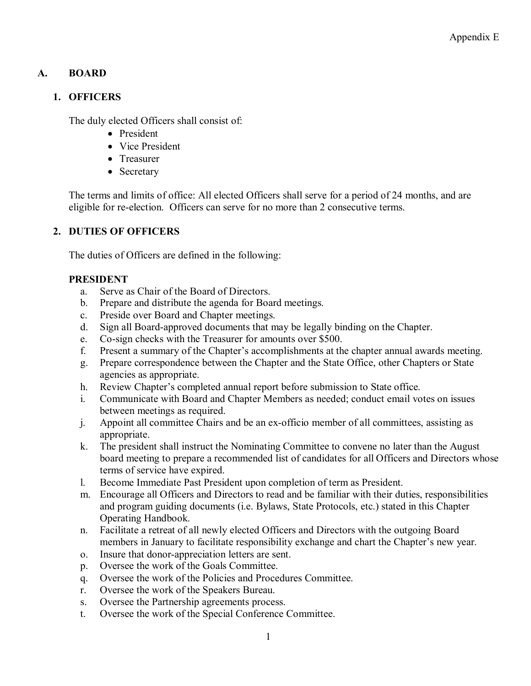# **A. BOARD**

#### **1. OFFICERS**

The duly elected Officers shall consist of:

- President
- Vice President
- Treasurer
- Secretary

The terms and limits of office: All elected Officers shall serve for a period of 24 months, and are eligible for re-election. Officers can serve for no more than 2 consecutive terms.

# **2. DUTIES OF OFFICERS**

The duties of Officers are defined in the following:

## **PRESIDENT**

- a. Serve as Chair of the Board of Directors.
- b. Prepare and distribute the agenda for Board meetings.
- c. Preside over Board and Chapter meetings.
- d. Sign all Board-approved documents that may be legally binding on the Chapter.
- e. Co-sign checks with the Treasurer for amounts over \$500.
- f. Present a summary of the Chapter's accomplishments at the chapter annual awards meeting.
- g. Prepare correspondence between the Chapter and the State Office, other Chapters or State agencies as appropriate.
- h. Review Chapter's completed annual report before submission to State office.
- i. Communicate with Board and Chapter Members as needed; conduct email votes on issues between meetings as required.
- j. Appoint all committee Chairs and be an ex-officio member of all committees, assisting as appropriate.
- k. The president shall instruct the Nominating Committee to convene no later than the August board meeting to prepare a recommended list of candidates for all Officers and Directors whose terms of service have expired.
- l. Become Immediate Past President upon completion of term as President.
- m. Encourage all Officers and Directors to read and be familiar with their duties, responsibilities and program guiding documents (i.e. Bylaws, State Protocols, etc.) stated in this Chapter Operating Handbook.
- n. Facilitate a retreat of all newly elected Officers and Directors with the outgoing Board members in January to facilitate responsibility exchange and chart the Chapter's new year.
- o. Insure that donor-appreciation letters are sent.
- p. Oversee the work of the Goals Committee.
- q. Oversee the work of the Policies and Procedures Committee.
- r. Oversee the work of the Speakers Bureau.
- s. Oversee the Partnership agreements process.
- t. Oversee the work of the Special Conference Committee.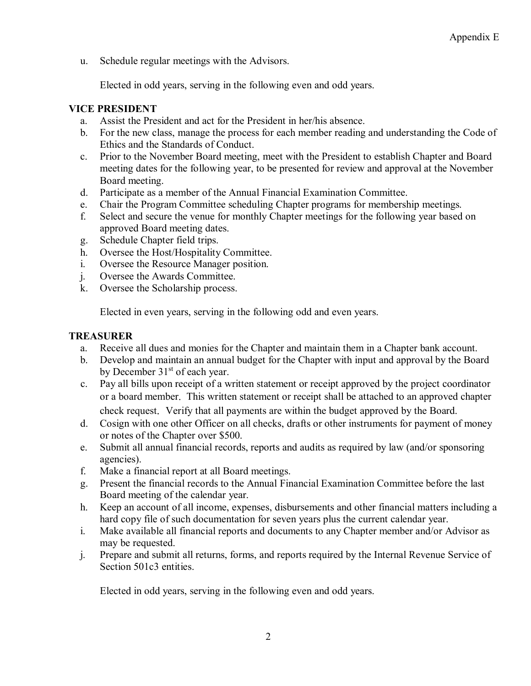u. Schedule regular meetings with the Advisors.

Elected in odd years, serving in the following even and odd years.

#### **VICE PRESIDENT**

- a. Assist the President and act for the President in her/his absence.
- b. For the new class, manage the process for each member reading and understanding the Code of Ethics and the Standards of Conduct.
- c. Prior to the November Board meeting, meet with the President to establish Chapter and Board meeting dates for the following year, to be presented for review and approval at the November Board meeting.
- d. Participate as a member of the Annual Financial Examination Committee.
- e. Chair the Program Committee scheduling Chapter programs for membership meetings.
- f. Select and secure the venue for monthly Chapter meetings for the following year based on approved Board meeting dates.
- g. Schedule Chapter field trips.
- h. Oversee the Host/Hospitality Committee.
- i. Oversee the Resource Manager position.
- j. Oversee the Awards Committee.
- k. Oversee the Scholarship process.

Elected in even years, serving in the following odd and even years.

#### **TREASURER**

- a. Receive all dues and monies for the Chapter and maintain them in a Chapter bank account.
- b. Develop and maintain an annual budget for the Chapter with input and approval by the Board by December 31<sup>st</sup> of each year.
- c. Pay all bills upon receipt of a written statement or receipt approved by the project coordinator or a board member. This written statement or receipt shall be attached to an approved chapter check request. Verify that all payments are within the budget approved by the Board.
- d. Cosign with one other Officer on all checks, drafts or other instruments for payment of money or notes of the Chapter over \$500.
- e. Submit all annual financial records, reports and audits as required by law (and/or sponsoring agencies).
- f. Make a financial report at all Board meetings.
- g. Present the financial records to the Annual Financial Examination Committee before the last Board meeting of the calendar year.
- h. Keep an account of all income, expenses, disbursements and other financial matters including a hard copy file of such documentation for seven years plus the current calendar year.
- i. Make available all financial reports and documents to any Chapter member and/or Advisor as may be requested.
- j. Prepare and submit all returns, forms, and reports required by the Internal Revenue Service of Section 501c3 entities.

Elected in odd years, serving in the following even and odd years.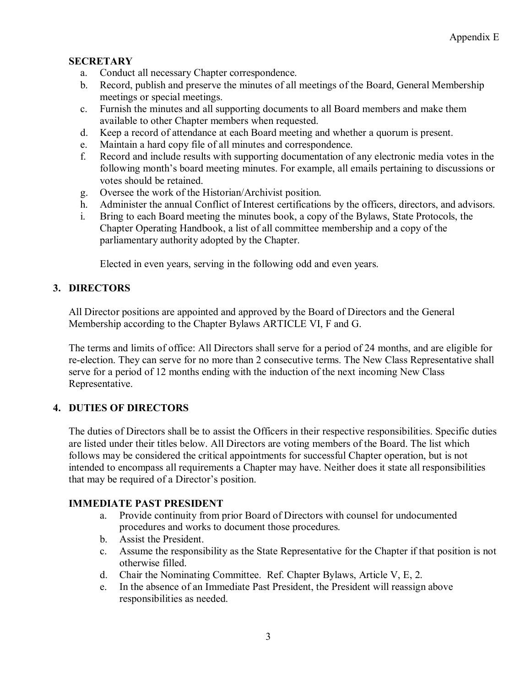#### **SECRETARY**

- a. Conduct all necessary Chapter correspondence.
- b. Record, publish and preserve the minutes of all meetings of the Board, General Membership meetings or special meetings.
- c. Furnish the minutes and all supporting documents to all Board members and make them available to other Chapter members when requested.
- d. Keep a record of attendance at each Board meeting and whether a quorum is present.
- e. Maintain a hard copy file of all minutes and correspondence.
- f. Record and include results with supporting documentation of any electronic media votes in the following month's board meeting minutes. For example, all emails pertaining to discussions or votes should be retained.
- g. Oversee the work of the Historian/Archivist position.
- h. Administer the annual Conflict of Interest certifications by the officers, directors, and advisors.
- i. Bring to each Board meeting the minutes book, a copy of the Bylaws, State Protocols, the Chapter Operating Handbook, a list of all committee membership and a copy of the parliamentary authority adopted by the Chapter.

Elected in even years, serving in the following odd and even years.

## **3. DIRECTORS**

All Director positions are appointed and approved by the Board of Directors and the General Membership according to the Chapter Bylaws ARTICLE VI, F and G.

The terms and limits of office: All Directors shall serve for a period of 24 months, and are eligible for re-election. They can serve for no more than 2 consecutive terms. The New Class Representative shall serve for a period of 12 months ending with the induction of the next incoming New Class Representative.

## **4. DUTIES OF DIRECTORS**

The duties of Directors shall be to assist the Officers in their respective responsibilities. Specific duties are listed under their titles below. All Directors are voting members of the Board. The list which follows may be considered the critical appointments for successful Chapter operation, but is not intended to encompass all requirements a Chapter may have. Neither does it state all responsibilities that may be required of a Director's position.

#### **IMMEDIATE PAST PRESIDENT**

- a. Provide continuity from prior Board of Directors with counsel for undocumented procedures and works to document those procedures.
- b. Assist the President.
- c. Assume the responsibility as the State Representative for the Chapter if that position is not otherwise filled.
- d. Chair the Nominating Committee. Ref. Chapter Bylaws, Article V, E, 2.
- e. In the absence of an Immediate Past President, the President will reassign above responsibilities as needed.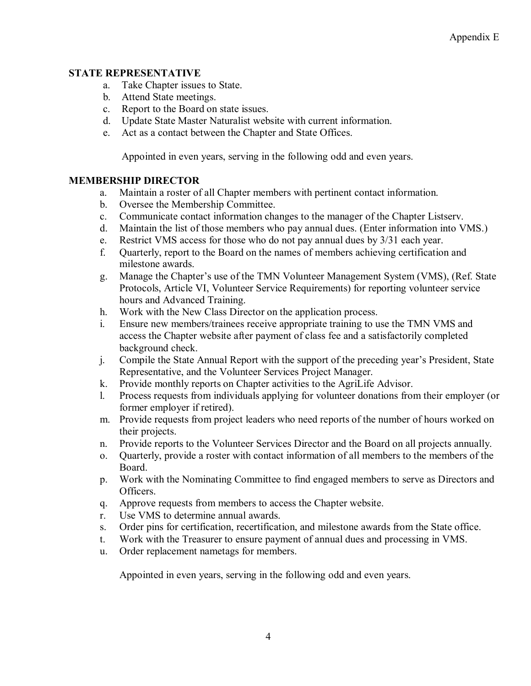#### **STATE REPRESENTATIVE**

- a. Take Chapter issues to State.
- b. Attend State meetings.
- c. Report to the Board on state issues.
- d. Update State Master Naturalist website with current information.
- e. Act as a contact between the Chapter and State Offices.

Appointed in even years, serving in the following odd and even years.

#### **MEMBERSHIP DIRECTOR**

- a. Maintain a roster of all Chapter members with pertinent contact information.
- b. Oversee the Membership Committee.
- c. Communicate contact information changes to the manager of the Chapter Listserv.
- d. Maintain the list of those members who pay annual dues. (Enter information into VMS.)
- e. Restrict VMS access for those who do not pay annual dues by 3/31 each year.
- f. Quarterly, report to the Board on the names of members achieving certification and milestone awards.
- g. Manage the Chapter's use of the TMN Volunteer Management System (VMS), (Ref. State Protocols, Article VI, Volunteer Service Requirements) for reporting volunteer service hours and Advanced Training.
- h. Work with the New Class Director on the application process.
- i. Ensure new members/trainees receive appropriate training to use the TMN VMS and access the Chapter website after payment of class fee and a satisfactorily completed background check.
- j. Compile the State Annual Report with the support of the preceding year's President, State Representative, and the Volunteer Services Project Manager.
- k. Provide monthly reports on Chapter activities to the AgriLife Advisor.
- l. Process requests from individuals applying for volunteer donations from their employer (or former employer if retired).
- m. Provide requests from project leaders who need reports of the number of hours worked on their projects.
- n. Provide reports to the Volunteer Services Director and the Board on all projects annually.
- o. Quarterly, provide a roster with contact information of all members to the members of the Board.
- p. Work with the Nominating Committee to find engaged members to serve as Directors and Officers.
- q. Approve requests from members to access the Chapter website.
- r. Use VMS to determine annual awards.
- s. Order pins for certification, recertification, and milestone awards from the State office.
- t. Work with the Treasurer to ensure payment of annual dues and processing in VMS.
- u. Order replacement nametags for members.

Appointed in even years, serving in the following odd and even years.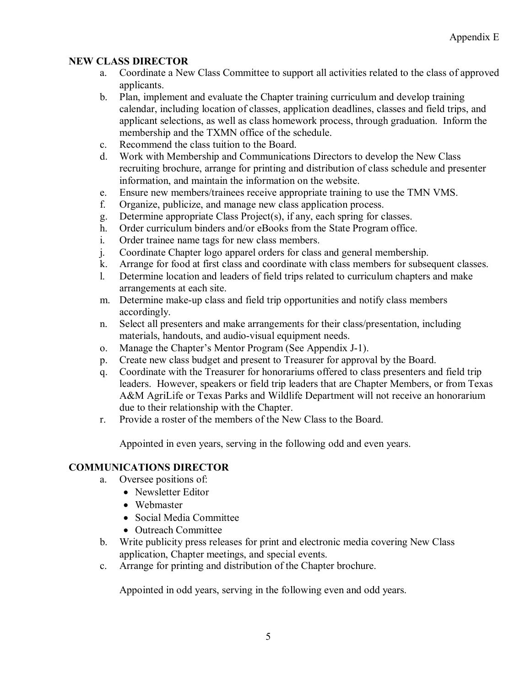#### **NEW CLASS DIRECTOR**

- a. Coordinate a New Class Committee to support all activities related to the class of approved applicants.
- b. Plan, implement and evaluate the Chapter training curriculum and develop training calendar, including location of classes, application deadlines, classes and field trips, and applicant selections, as well as class homework process, through graduation. Inform the membership and the TXMN office of the schedule.
- c. Recommend the class tuition to the Board.
- d. Work with Membership and Communications Directors to develop the New Class recruiting brochure, arrange for printing and distribution of class schedule and presenter information, and maintain the information on the website.
- e. Ensure new members/trainees receive appropriate training to use the TMN VMS.
- f. Organize, publicize, and manage new class application process.
- g. Determine appropriate Class Project(s), if any, each spring for classes.
- h. Order curriculum binders and/or eBooks from the State Program office.
- i. Order trainee name tags for new class members.
- j. Coordinate Chapter logo apparel orders for class and general membership.
- k. Arrange for food at first class and coordinate with class members for subsequent classes.
- l. Determine location and leaders of field trips related to curriculum chapters and make arrangements at each site.
- m. Determine make-up class and field trip opportunities and notify class members accordingly.
- n. Select all presenters and make arrangements for their class/presentation, including materials, handouts, and audio-visual equipment needs.
- o. Manage the Chapter's Mentor Program (See Appendix J-1).
- p. Create new class budget and present to Treasurer for approval by the Board.
- q. Coordinate with the Treasurer for honorariums offered to class presenters and field trip leaders. However, speakers or field trip leaders that are Chapter Members, or from Texas A&M AgriLife or Texas Parks and Wildlife Department will not receive an honorarium due to their relationship with the Chapter.
- r. Provide a roster of the members of the New Class to the Board.

Appointed in even years, serving in the following odd and even years.

## **COMMUNICATIONS DIRECTOR**

- a. Oversee positions of:
	- Newsletter Editor
	- Webmaster
	- Social Media Committee
	- Outreach Committee
- b. Write publicity press releases for print and electronic media covering New Class application, Chapter meetings, and special events.
- c. Arrange for printing and distribution of the Chapter brochure.

Appointed in odd years, serving in the following even and odd years.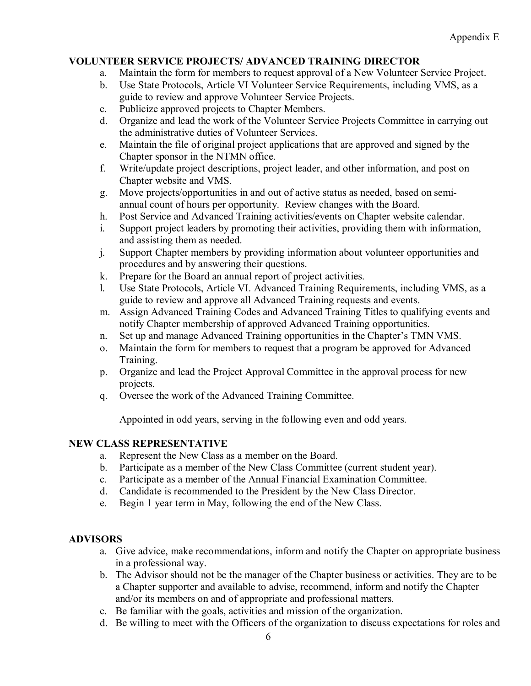#### **VOLUNTEER SERVICE PROJECTS/ ADVANCED TRAINING DIRECTOR**

- a. Maintain the form for members to request approval of a New Volunteer Service Project.
- b. Use State Protocols, Article VI Volunteer Service Requirements, including VMS, as a guide to review and approve Volunteer Service Projects.
- c. Publicize approved projects to Chapter Members.
- d. Organize and lead the work of the Volunteer Service Projects Committee in carrying out the administrative duties of Volunteer Services.
- e. Maintain the file of original project applications that are approved and signed by the Chapter sponsor in the NTMN office.
- f. Write/update project descriptions, project leader, and other information, and post on Chapter website and VMS.
- g. Move projects/opportunities in and out of active status as needed, based on semiannual count of hours per opportunity. Review changes with the Board.
- h. Post Service and Advanced Training activities/events on Chapter website calendar.
- i. Support project leaders by promoting their activities, providing them with information, and assisting them as needed.
- j. Support Chapter members by providing information about volunteer opportunities and procedures and by answering their questions.
- k. Prepare for the Board an annual report of project activities.
- l. Use State Protocols, Article VI. Advanced Training Requirements, including VMS, as a guide to review and approve all Advanced Training requests and events.
- m. Assign Advanced Training Codes and Advanced Training Titles to qualifying events and notify Chapter membership of approved Advanced Training opportunities.
- n. Set up and manage Advanced Training opportunities in the Chapter's TMN VMS.
- o. Maintain the form for members to request that a program be approved for Advanced Training.
- p. Organize and lead the Project Approval Committee in the approval process for new projects.
- q. Oversee the work of the Advanced Training Committee.

Appointed in odd years, serving in the following even and odd years.

## **NEW CLASS REPRESENTATIVE**

- a. Represent the New Class as a member on the Board.
- b. Participate as a member of the New Class Committee (current student year).
- c. Participate as a member of the Annual Financial Examination Committee.
- d. Candidate is recommended to the President by the New Class Director.
- e. Begin 1 year term in May, following the end of the New Class.

## **ADVISORS**

- a. Give advice, make recommendations, inform and notify the Chapter on appropriate business in a professional way.
- b. The Advisor should not be the manager of the Chapter business or activities. They are to be a Chapter supporter and available to advise, recommend, inform and notify the Chapter and/or its members on and of appropriate and professional matters.
- c. Be familiar with the goals, activities and mission of the organization.
- d. Be willing to meet with the Officers of the organization to discuss expectations for roles and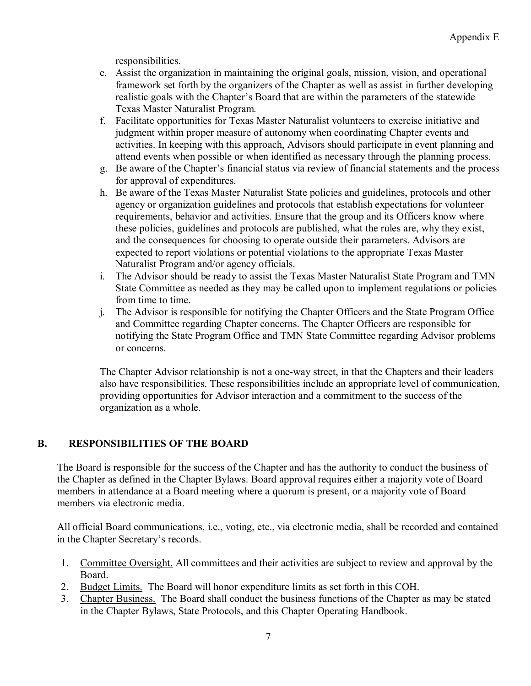responsibilities.

- e. Assist the organization in maintaining the original goals, mission, vision, and operational framework set forth by the organizers of the Chapter as well as assist in further developing realistic goals with the Chapter's Board that are within the parameters of the statewide Texas Master Naturalist Program.
- f. Facilitate opportunities for Texas Master Naturalist volunteers to exercise initiative and judgment within proper measure of autonomy when coordinating Chapter events and activities. In keeping with this approach, Advisors should participate in event planning and attend events when possible or when identified as necessary through the planning process.
- g. Be aware of the Chapter's financial status via review of financial statements and the process for approval of expenditures.
- h. Be aware of the Texas Master Naturalist State policies and guidelines, protocols and other agency or organization guidelines and protocols that establish expectations for volunteer requirements, behavior and activities. Ensure that the group and its Officers know where these policies, guidelines and protocols are published, what the rules are, why they exist, and the consequences for choosing to operate outside their parameters. Advisors are expected to report violations or potential violations to the appropriate Texas Master Naturalist Program and/or agency officials.
- i. The Advisor should be ready to assist the Texas Master Naturalist State Program and TMN State Committee as needed as they may be called upon to implement regulations or policies from time to time.
- j. The Advisor is responsible for notifying the Chapter Officers and the State Program Office and Committee regarding Chapter concerns. The Chapter Officers are responsible for notifying the State Program Office and TMN State Committee regarding Advisor problems or concerns.

The Chapter Advisor relationship is not a one-way street, in that the Chapters and their leaders also have responsibilities. These responsibilities include an appropriate level of communication, providing opportunities for Advisor interaction and a commitment to the success of the organization as a whole.

# **B. RESPONSIBILITIES OF THE BOARD**

The Board is responsible for the success of the Chapter and has the authority to conduct the business of the Chapter as defined in the Chapter Bylaws. Board approval requires either a majority vote of Board members in attendance at a Board meeting where a quorum is present, or a majority vote of Board members via electronic media.

All official Board communications, i.e., voting, etc., via electronic media, shall be recorded and contained in the Chapter Secretary's records.

- 1. Committee Oversight. All committees and their activities are subject to review and approval by the Board.
- 2. Budget Limits. The Board will honor expenditure limits as set forth in this COH.
- 3. Chapter Business. The Board shall conduct the business functions of the Chapter as may be stated in the Chapter Bylaws, State Protocols, and this Chapter Operating Handbook.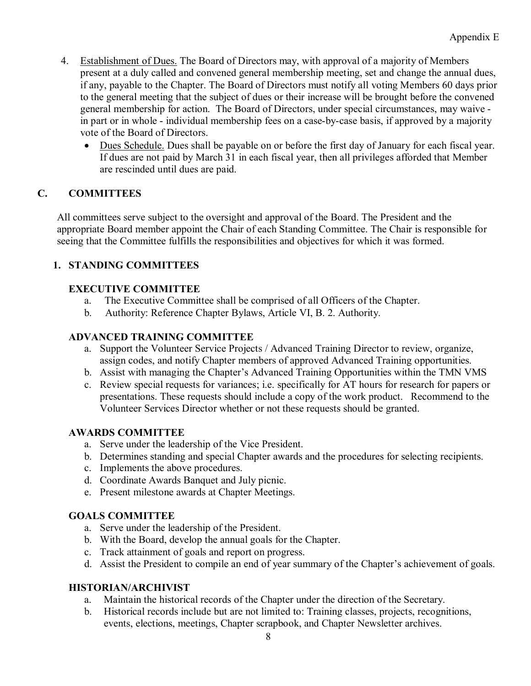- 4. Establishment of Dues. The Board of Directors may, with approval of a majority of Members present at a duly called and convened general membership meeting, set and change the annual dues, if any, payable to the Chapter. The Board of Directors must notify all voting Members 60 days prior to the general meeting that the subject of dues or their increase will be brought before the convened general membership for action. The Board of Directors, under special circumstances, may waive in part or in whole - individual membership fees on a case-by-case basis, if approved by a majority vote of the Board of Directors.
	- Dues Schedule. Dues shall be payable on or before the first day of January for each fiscal year. If dues are not paid by March 31 in each fiscal year, then all privileges afforded that Member are rescinded until dues are paid.

## **C. COMMITTEES**

All committees serve subject to the oversight and approval of the Board. The President and the appropriate Board member appoint the Chair of each Standing Committee. The Chair is responsible for seeing that the Committee fulfills the responsibilities and objectives for which it was formed.

# **1. STANDING COMMITTEES**

## **EXECUTIVE COMMITTEE**

- a. The Executive Committee shall be comprised of all Officers of the Chapter.
- b. Authority: Reference Chapter Bylaws, Article VI, B. 2. Authority.

## **ADVANCED TRAINING COMMITTEE**

- a. Support the Volunteer Service Projects / Advanced Training Director to review, organize, assign codes, and notify Chapter members of approved Advanced Training opportunities.
- b. Assist with managing the Chapter's Advanced Training Opportunities within the TMN VMS
- c. Review special requests for variances; i.e. specifically for AT hours for research for papers or presentations. These requests should include a copy of the work product. Recommend to the Volunteer Services Director whether or not these requests should be granted.

## **AWARDS COMMITTEE**

- a. Serve under the leadership of the Vice President.
- b. Determines standing and special Chapter awards and the procedures for selecting recipients.
- c. Implements the above procedures.
- d. Coordinate Awards Banquet and July picnic.
- e. Present milestone awards at Chapter Meetings.

## **GOALS COMMITTEE**

- a. Serve under the leadership of the President.
- b. With the Board, develop the annual goals for the Chapter.
- c. Track attainment of goals and report on progress.
- d. Assist the President to compile an end of year summary of the Chapter's achievement of goals.

## **HISTORIAN/ARCHIVIST**

- a. Maintain the historical records of the Chapter under the direction of the Secretary.
- b. Historical records include but are not limited to: Training classes, projects, recognitions, events, elections, meetings, Chapter scrapbook, and Chapter Newsletter archives.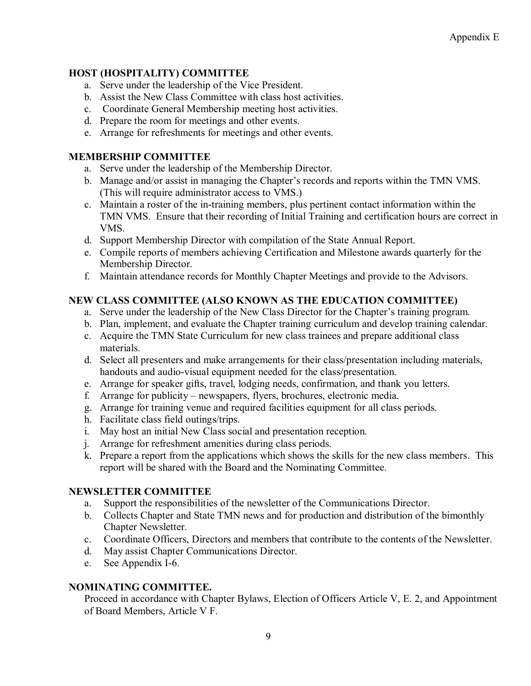#### **HOST (HOSPITALITY) COMMITTEE**

- a. Serve under the leadership of the Vice President.
- b. Assist the New Class Committee with class host activities.
- c. Coordinate General Membership meeting host activities.
- d. Prepare the room for meetings and other events.
- e. Arrange for refreshments for meetings and other events.

#### **MEMBERSHIP COMMITTEE**

- a. Serve under the leadership of the Membership Director.
- b. Manage and/or assist in managing the Chapter's records and reports within the TMN VMS. (This will require administrator access to VMS.)
- c. Maintain a roster of the in-training members, plus pertinent contact information within the TMN VMS. Ensure that their recording of Initial Training and certification hours are correct in VMS.
- d. Support Membership Director with compilation of the State Annual Report.
- e. Compile reports of members achieving Certification and Milestone awards quarterly for the Membership Director.
- f. Maintain attendance records for Monthly Chapter Meetings and provide to the Advisors.

# **NEW CLASS COMMITTEE (ALSO KNOWN AS THE EDUCATION COMMITTEE)**

- a. Serve under the leadership of the New Class Director for the Chapter's training program.
- b. Plan, implement, and evaluate the Chapter training curriculum and develop training calendar.
- c. Acquire the TMN State Curriculum for new class trainees and prepare additional class materials.
- d. Select all presenters and make arrangements for their class/presentation including materials, handouts and audio-visual equipment needed for the class/presentation.
- e. Arrange for speaker gifts, travel, lodging needs, confirmation, and thank you letters.
- f. Arrange for publicity newspapers, flyers, brochures, electronic media.
- g. Arrange for training venue and required facilities equipment for all class periods.
- h. Facilitate class field outings/trips.
- i. May host an initial New Class social and presentation reception.
- j. Arrange for refreshment amenities during class periods.
- k. Prepare a report from the applications which shows the skills for the new class members. This report will be shared with the Board and the Nominating Committee.

## **NEWSLETTER COMMITTEE**

- a. Support the responsibilities of the newsletter of the Communications Director.
- b. Collects Chapter and State TMN news and for production and distribution of the bimonthly Chapter Newsletter.
- c. Coordinate Officers, Directors and members that contribute to the contents of the Newsletter.
- d. May assist Chapter Communications Director.
- e. See Appendix I-6.

## **NOMINATING COMMITTEE.**

Proceed in accordance with Chapter Bylaws, Election of Officers Article V, E. 2, and Appointment of Board Members, Article V F.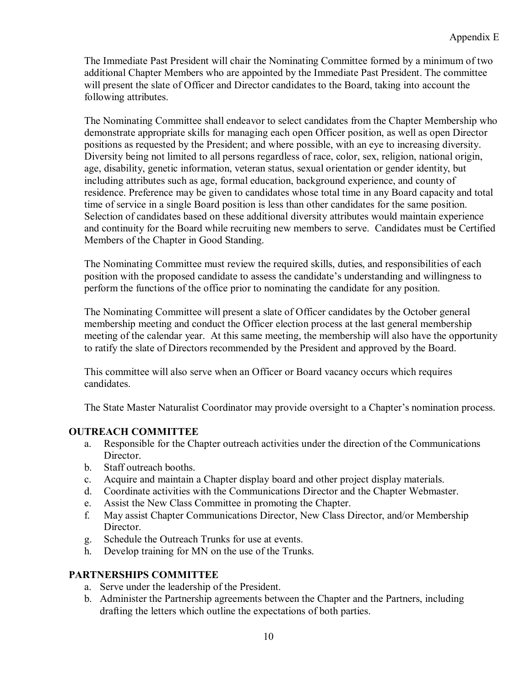The Immediate Past President will chair the Nominating Committee formed by a minimum of two additional Chapter Members who are appointed by the Immediate Past President. The committee will present the slate of Officer and Director candidates to the Board, taking into account the following attributes.

The Nominating Committee shall endeavor to select candidates from the Chapter Membership who demonstrate appropriate skills for managing each open Officer position, as well as open Director positions as requested by the President; and where possible, with an eye to increasing diversity. Diversity being not limited to all persons regardless of race, color, sex, religion, national origin, age, disability, genetic information, veteran status, sexual orientation or gender identity, but including attributes such as age, formal education, background experience, and county of residence. Preference may be given to candidates whose total time in any Board capacity and total time of service in a single Board position is less than other candidates for the same position. Selection of candidates based on these additional diversity attributes would maintain experience and continuity for the Board while recruiting new members to serve. Candidates must be Certified Members of the Chapter in Good Standing.

The Nominating Committee must review the required skills, duties, and responsibilities of each position with the proposed candidate to assess the candidate's understanding and willingness to perform the functions of the office prior to nominating the candidate for any position.

The Nominating Committee will present a slate of Officer candidates by the October general membership meeting and conduct the Officer election process at the last general membership meeting of the calendar year. At this same meeting, the membership will also have the opportunity to ratify the slate of Directors recommended by the President and approved by the Board.

This committee will also serve when an Officer or Board vacancy occurs which requires candidates.

The State Master Naturalist Coordinator may provide oversight to a Chapter's nomination process.

#### **OUTREACH COMMITTEE**

- a. Responsible for the Chapter outreach activities under the direction of the Communications **Director**
- b. Staff outreach booths.
- c. Acquire and maintain a Chapter display board and other project display materials.
- d. Coordinate activities with the Communications Director and the Chapter Webmaster.
- e. Assist the New Class Committee in promoting the Chapter.
- f. May assist Chapter Communications Director, New Class Director, and/or Membership Director.
- g. Schedule the Outreach Trunks for use at events.
- h. Develop training for MN on the use of the Trunks.

## **PARTNERSHIPS COMMITTEE**

- a. Serve under the leadership of the President.
- b. Administer the Partnership agreements between the Chapter and the Partners, including drafting the letters which outline the expectations of both parties.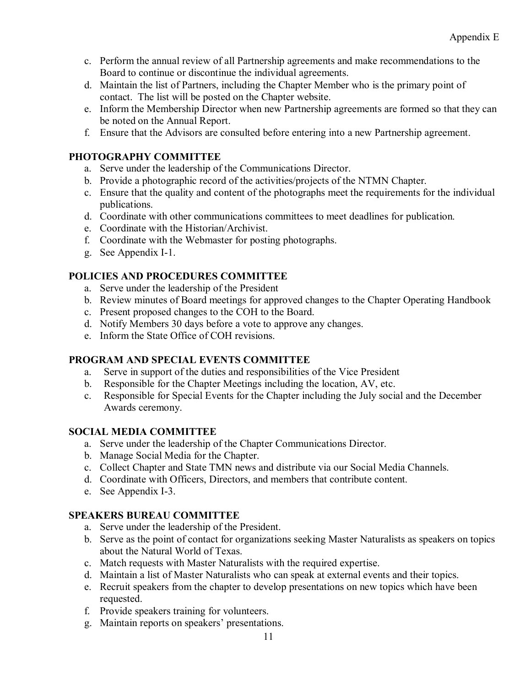- c. Perform the annual review of all Partnership agreements and make recommendations to the Board to continue or discontinue the individual agreements.
- d. Maintain the list of Partners, including the Chapter Member who is the primary point of contact. The list will be posted on the Chapter website.
- e. Inform the Membership Director when new Partnership agreements are formed so that they can be noted on the Annual Report.
- f. Ensure that the Advisors are consulted before entering into a new Partnership agreement.

#### **PHOTOGRAPHY COMMITTEE**

- a. Serve under the leadership of the Communications Director.
- b. Provide a photographic record of the activities/projects of the NTMN Chapter.
- c. Ensure that the quality and content of the photographs meet the requirements for the individual publications.
- d. Coordinate with other communications committees to meet deadlines for publication.
- e. Coordinate with the Historian/Archivist.
- f. Coordinate with the Webmaster for posting photographs.
- g. See Appendix I-1.

## **POLICIES AND PROCEDURES COMMITTEE**

- a. Serve under the leadership of the President
- b. Review minutes of Board meetings for approved changes to the Chapter Operating Handbook
- c. Present proposed changes to the COH to the Board.
- d. Notify Members 30 days before a vote to approve any changes.
- e. Inform the State Office of COH revisions.

## **PROGRAM AND SPECIAL EVENTS COMMITTEE**

- a. Serve in support of the duties and responsibilities of the Vice President
- b. Responsible for the Chapter Meetings including the location, AV, etc.
- c. Responsible for Special Events for the Chapter including the July social and the December Awards ceremony.

## **SOCIAL MEDIA COMMITTEE**

- a. Serve under the leadership of the Chapter Communications Director.
- b. Manage Social Media for the Chapter.
- c. Collect Chapter and State TMN news and distribute via our Social Media Channels.
- d. Coordinate with Officers, Directors, and members that contribute content.
- e. See Appendix I-3.

## **SPEAKERS BUREAU COMMITTEE**

- a. Serve under the leadership of the President.
- b. Serve as the point of contact for organizations seeking Master Naturalists as speakers on topics about the Natural World of Texas.
- c. Match requests with Master Naturalists with the required expertise.
- d. Maintain a list of Master Naturalists who can speak at external events and their topics.
- e. Recruit speakers from the chapter to develop presentations on new topics which have been requested.
- f. Provide speakers training for volunteers.
- g. Maintain reports on speakers' presentations.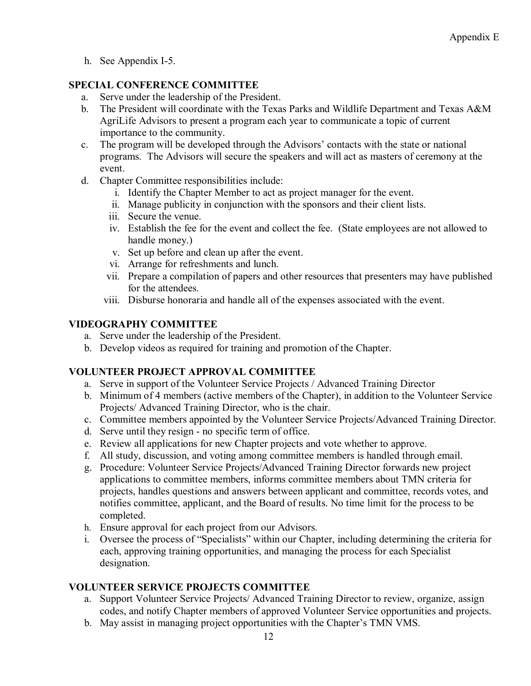h. See Appendix I-5.

## **SPECIAL CONFERENCE COMMITTEE**

- a. Serve under the leadership of the President.
- b. The President will coordinate with the Texas Parks and Wildlife Department and Texas A&M AgriLife Advisors to present a program each year to communicate a topic of current importance to the community.
- c. The program will be developed through the Advisors' contacts with the state or national programs. The Advisors will secure the speakers and will act as masters of ceremony at the event.
- d. Chapter Committee responsibilities include:
	- i. Identify the Chapter Member to act as project manager for the event.
	- ii. Manage publicity in conjunction with the sponsors and their client lists.
	- iii. Secure the venue.
	- iv. Establish the fee for the event and collect the fee. (State employees are not allowed to handle money.)
	- v. Set up before and clean up after the event.
	- vi. Arrange for refreshments and lunch.
	- vii. Prepare a compilation of papers and other resources that presenters may have published for the attendees.
	- viii. Disburse honoraria and handle all of the expenses associated with the event.

## **VIDEOGRAPHY COMMITTEE**

- a. Serve under the leadership of the President.
- b. Develop videos as required for training and promotion of the Chapter.

## **VOLUNTEER PROJECT APPROVAL COMMITTEE**

- a. Serve in support of the Volunteer Service Projects / Advanced Training Director
- b. Minimum of 4 members (active members of the Chapter), in addition to the Volunteer Service Projects/ Advanced Training Director, who is the chair.
- c. Committee members appointed by the Volunteer Service Projects/Advanced Training Director.
- d. Serve until they resign no specific term of office.
- e. Review all applications for new Chapter projects and vote whether to approve.
- f. All study, discussion, and voting among committee members is handled through email.
- g. Procedure: Volunteer Service Projects/Advanced Training Director forwards new project applications to committee members, informs committee members about TMN criteria for projects, handles questions and answers between applicant and committee, records votes, and notifies committee, applicant, and the Board of results. No time limit for the process to be completed.
- h. Ensure approval for each project from our Advisors.
- i. Oversee the process of "Specialists" within our Chapter, including determining the criteria for each, approving training opportunities, and managing the process for each Specialist designation.

## **VOLUNTEER SERVICE PROJECTS COMMITTEE**

- a. Support Volunteer Service Projects/ Advanced Training Director to review, organize, assign codes, and notify Chapter members of approved Volunteer Service opportunities and projects.
- b. May assist in managing project opportunities with the Chapter's TMN VMS.